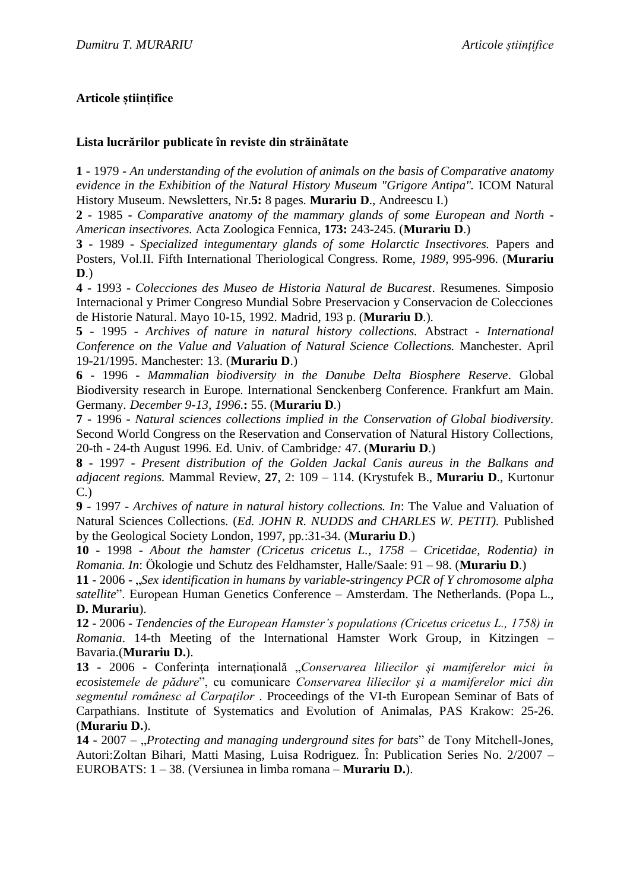## **Articole științifice**

## **Lista lucrărilor publicate în reviste din străinătate**

**1** - 1979 - *An understanding of the evolution of animals on the basis of Comparative anatomy evidence in the Exhibition of the Natural History Museum "Grigore Antipa".* ICOM Natural History Museum. Newsletters, Nr.**5:** 8 pages. **Murariu D**., Andreescu I.)

**2** - 1985 - *Comparative anatomy of the mammary glands of some European and North - American insectivores.* Acta Zoologica Fennica, **173:** 243-245. (**Murariu D**.)

**3** - 1989 - *Specialized integumentary glands of some Holarctic Insectivores.* Papers and Posters, Vol.II. Fifth International Theriological Congress. Rome, *1989*, 995-996. (**Murariu D**.)

**4** - 1993 - *Colecciones des Museo de Historia Natural de Bucarest*. Resumenes. Simposio Internacional y Primer Congreso Mundial Sobre Preservacion y Conservacion de Colecciones de Historie Natural. Mayo 10-15, 1992. Madrid, 193 p. (**Murariu D**.).

**5** - 1995 - *Archives of nature in natural history collections.* Abstract *- International Conference on the Value and Valuation of Natural Science Collections.* Manchester. April 19-21/1995. Manchester: 13. (**Murariu D**.)

**6** - 1996 - *Mammalian biodiversity in the Danube Delta Biosphere Reserve*. Global Biodiversity research in Europe. International Senckenberg Conference*.* Frankfurt am Main. Germany*. December 9-13, 1996*.**:** 55. (**Murariu D**.)

**7** - 1996 - *Natural sciences collections implied in the Conservation of Global biodiversity*. Second World Congress on the Reservation and Conservation of Natural History Collections, 20-th - 24-th August 1996*.* Ed. Univ. of Cambridge*:* 47. (**Murariu D**.)

**8** - 1997 - *Present distribution of the Golden Jackal Canis aureus in the Balkans and adjacent regions.* Mammal Review, **27**, 2: 109 – 114. (Krystufek B., **Murariu D**., Kurtonur C.)

**9** - 1997 - *Archives of nature in natural history collections. In*: The Value and Valuation of Natural Sciences Collections. (*Ed. JOHN R. NUDDS and CHARLES W. PETIT).* Published by the Geological Society London, 1997, pp.:31-34. (**Murariu D**.)

**10** - 1998 - *About the hamster (Cricetus cricetus L., 1758 – Cricetidae, Rodentia) in Romania. In*: Ökologie und Schutz des Feldhamster, Halle/Saale: 91 – 98. (**Murariu D**.)

**11** - 2006 - "*Sex identification in humans by variable-stringency PCR of Y chromosome alpha satellite*". European Human Genetics Conference – Amsterdam. The Netherlands. (Popa L., **D. Murariu**).

**12** - 2006 - *Tendencies of the European Hamster's populations (Cricetus cricetus L., 1758) in Romania*. 14-th Meeting of the International Hamster Work Group, in Kitzingen – Bavaria.(**Murariu D.**).

**13** - 2006 - Conferinţa internaţională "*Conservarea liliecilor şi mamiferelor mici în ecosistemele de pădure*", cu comunicare *Conservarea liliecilor şi a mamiferelor mici din segmentul românesc al Carpaţilor* . Proceedings of the VI-th European Seminar of Bats of Carpathians. Institute of Systematics and Evolution of Animalas, PAS Krakow: 25-26. (**Murariu D.**).

14 - 2007 – "*Protecting and managing underground sites for bats*" de Tony Mitchell-Jones, Autori:Zoltan Bihari, Matti Masing, Luisa Rodriguez. În: Publication Series No. 2/2007 – EUROBATS: 1 – 38. (Versiunea in limba romana – **Murariu D.**).